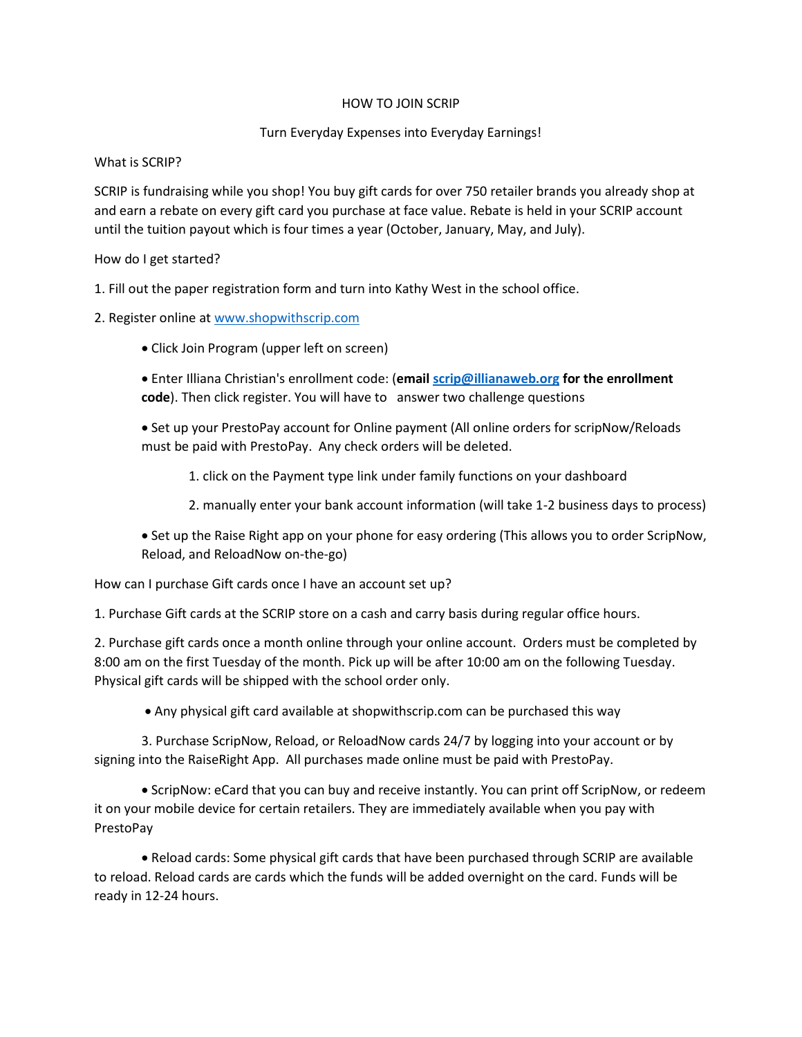# HOW TO JOIN SCRIP

# Turn Everyday Expenses into Everyday Earnings!

### What is SCRIP?

SCRIP is fundraising while you shop! You buy gift cards for over 750 retailer brands you already shop at and earn a rebate on every gift card you purchase at face value. Rebate is held in your SCRIP account until the tuition payout which is four times a year (October, January, May, and July).

## How do I get started?

1. Fill out the paper registration form and turn into Kathy West in the school office.

2. Register online a[t www.shopwithscrip.com](http://www.shopwithscrip.com/)

• Click Join Program (upper left on screen)

• Enter Illiana Christian's enrollment code: (**emai[l scrip@illianaweb.org](mailto:scrip@illianaweb.org) for the enrollment code**). Then click register. You will have to answer two challenge questions

• Set up your PrestoPay account for Online payment (All online orders for scripNow/Reloads must be paid with PrestoPay. Any check orders will be deleted.

1. click on the Payment type link under family functions on your dashboard

2. manually enter your bank account information (will take 1-2 business days to process)

• Set up the Raise Right app on your phone for easy ordering (This allows you to order ScripNow, Reload, and ReloadNow on-the-go)

How can I purchase Gift cards once I have an account set up?

1. Purchase Gift cards at the SCRIP store on a cash and carry basis during regular office hours.

2. Purchase gift cards once a month online through your online account. Orders must be completed by 8:00 am on the first Tuesday of the month. Pick up will be after 10:00 am on the following Tuesday. Physical gift cards will be shipped with the school order only.

• Any physical gift card available at shopwithscrip.com can be purchased this way

3. Purchase ScripNow, Reload, or ReloadNow cards 24/7 by logging into your account or by signing into the RaiseRight App. All purchases made online must be paid with PrestoPay.

• ScripNow: eCard that you can buy and receive instantly. You can print off ScripNow, or redeem it on your mobile device for certain retailers. They are immediately available when you pay with PrestoPay

• Reload cards: Some physical gift cards that have been purchased through SCRIP are available to reload. Reload cards are cards which the funds will be added overnight on the card. Funds will be ready in 12-24 hours.